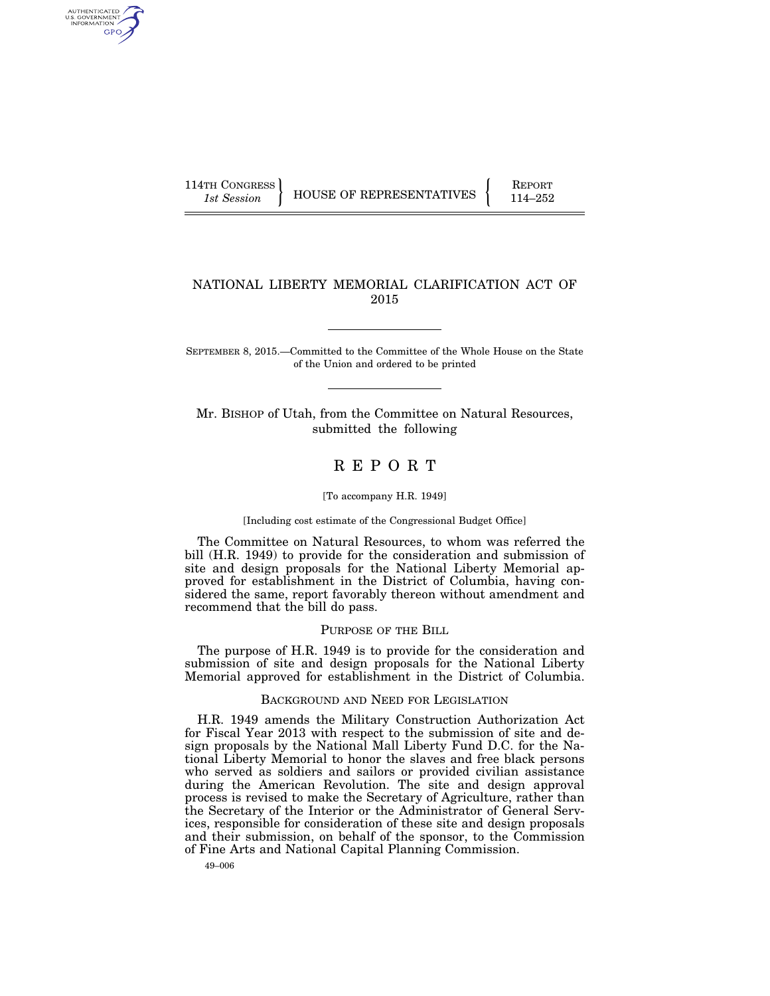AUTHENTICATED U.S. GOVERNMENT GPO

114TH CONGRESS HOUSE OF REPRESENTATIVES FEPORT 114–252

# NATIONAL LIBERTY MEMORIAL CLARIFICATION ACT OF 2015

SEPTEMBER 8, 2015.—Committed to the Committee of the Whole House on the State of the Union and ordered to be printed

Mr. BISHOP of Utah, from the Committee on Natural Resources, submitted the following

# R E P O R T

#### [To accompany H.R. 1949]

## [Including cost estimate of the Congressional Budget Office]

The Committee on Natural Resources, to whom was referred the bill (H.R. 1949) to provide for the consideration and submission of site and design proposals for the National Liberty Memorial approved for establishment in the District of Columbia, having considered the same, report favorably thereon without amendment and recommend that the bill do pass.

## PURPOSE OF THE BILL

The purpose of H.R. 1949 is to provide for the consideration and submission of site and design proposals for the National Liberty Memorial approved for establishment in the District of Columbia.

#### BACKGROUND AND NEED FOR LEGISLATION

H.R. 1949 amends the Military Construction Authorization Act for Fiscal Year 2013 with respect to the submission of site and design proposals by the National Mall Liberty Fund D.C. for the National Liberty Memorial to honor the slaves and free black persons who served as soldiers and sailors or provided civilian assistance during the American Revolution. The site and design approval process is revised to make the Secretary of Agriculture, rather than the Secretary of the Interior or the Administrator of General Services, responsible for consideration of these site and design proposals and their submission, on behalf of the sponsor, to the Commission of Fine Arts and National Capital Planning Commission.

49–006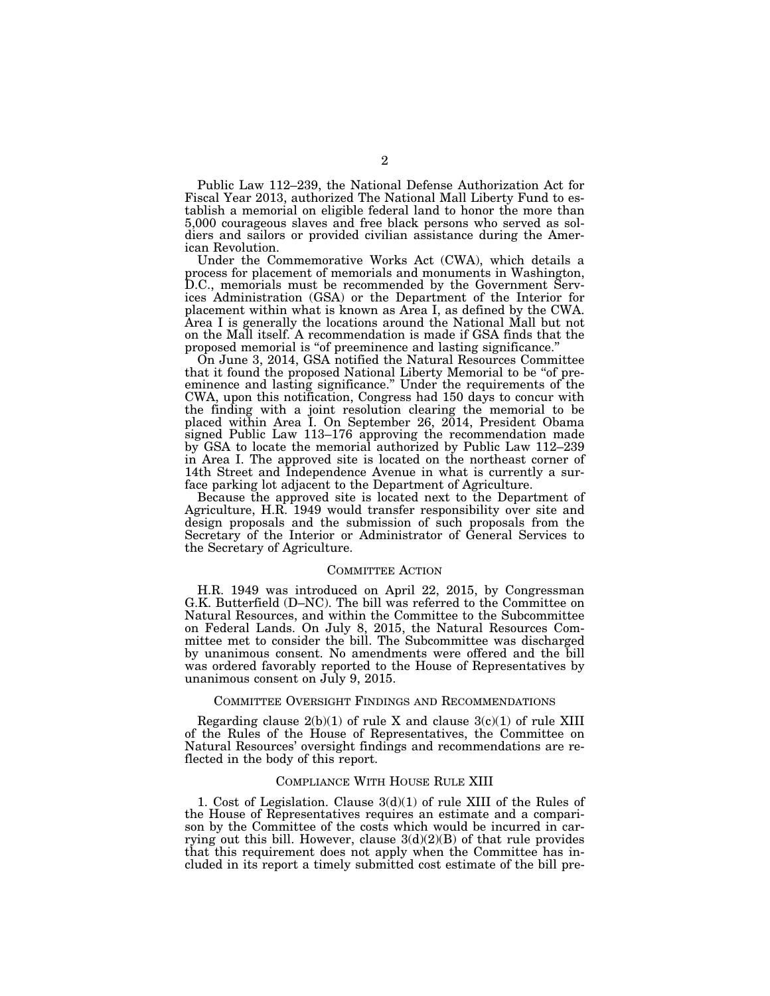Public Law 112–239, the National Defense Authorization Act for Fiscal Year 2013, authorized The National Mall Liberty Fund to establish a memorial on eligible federal land to honor the more than 5,000 courageous slaves and free black persons who served as soldiers and sailors or provided civilian assistance during the American Revolution.

Under the Commemorative Works Act (CWA), which details a process for placement of memorials and monuments in Washington, D.C., memorials must be recommended by the Government Services Administration (GSA) or the Department of the Interior for placement within what is known as Area I, as defined by the CWA. Area I is generally the locations around the National Mall but not on the Mall itself. A recommendation is made if GSA finds that the proposed memorial is ''of preeminence and lasting significance.''

On June 3, 2014, GSA notified the Natural Resources Committee that it found the proposed National Liberty Memorial to be "of preeminence and lasting significance.'' Under the requirements of the CWA, upon this notification, Congress had 150 days to concur with the finding with a joint resolution clearing the memorial to be placed within Area I. On September 26, 2014, President Obama signed Public Law 113–176 approving the recommendation made by GSA to locate the memorial authorized by Public Law 112–239 in Area I. The approved site is located on the northeast corner of 14th Street and Independence Avenue in what is currently a surface parking lot adjacent to the Department of Agriculture.

Because the approved site is located next to the Department of Agriculture, H.R. 1949 would transfer responsibility over site and design proposals and the submission of such proposals from the Secretary of the Interior or Administrator of General Services to the Secretary of Agriculture.

#### COMMITTEE ACTION

H.R. 1949 was introduced on April 22, 2015, by Congressman G.K. Butterfield (D–NC). The bill was referred to the Committee on Natural Resources, and within the Committee to the Subcommittee on Federal Lands. On July 8, 2015, the Natural Resources Committee met to consider the bill. The Subcommittee was discharged by unanimous consent. No amendments were offered and the bill was ordered favorably reported to the House of Representatives by unanimous consent on July 9, 2015.

## COMMITTEE OVERSIGHT FINDINGS AND RECOMMENDATIONS

Regarding clause  $2(b)(1)$  of rule X and clause  $3(c)(1)$  of rule XIII of the Rules of the House of Representatives, the Committee on Natural Resources' oversight findings and recommendations are reflected in the body of this report.

# COMPLIANCE WITH HOUSE RULE XIII

1. Cost of Legislation. Clause 3(d)(1) of rule XIII of the Rules of the House of Representatives requires an estimate and a comparison by the Committee of the costs which would be incurred in carrying out this bill. However, clause  $3(d)(2)(B)$  of that rule provides that this requirement does not apply when the Committee has included in its report a timely submitted cost estimate of the bill pre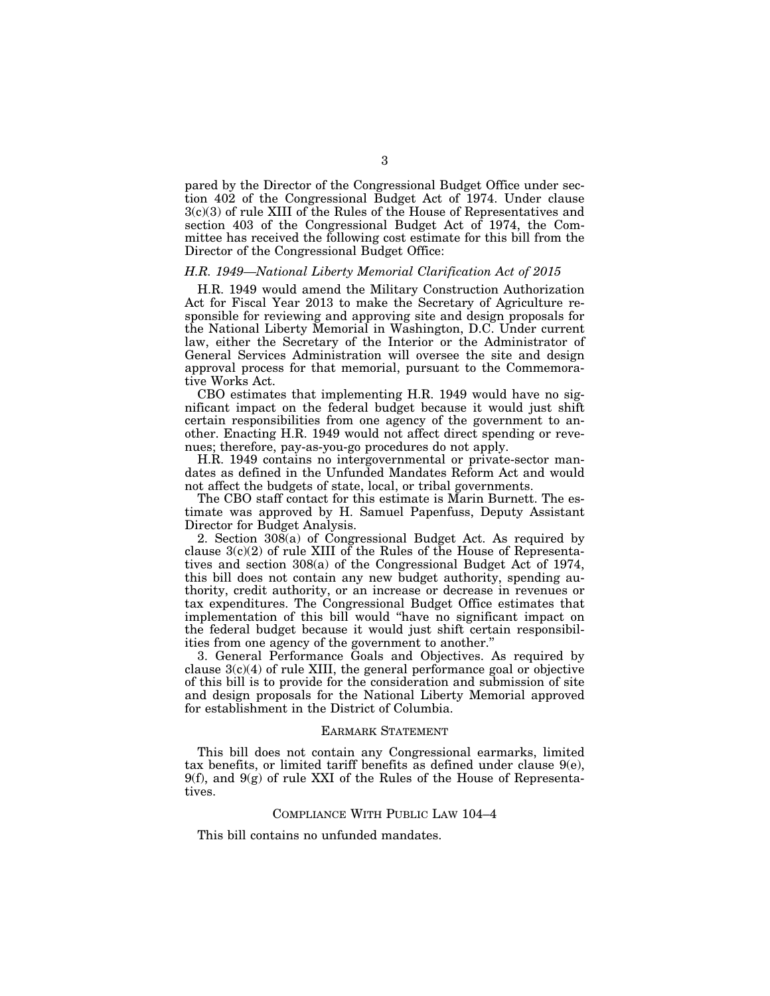pared by the Director of the Congressional Budget Office under section 402 of the Congressional Budget Act of 1974. Under clause 3(c)(3) of rule XIII of the Rules of the House of Representatives and section 403 of the Congressional Budget Act of 1974, the Committee has received the following cost estimate for this bill from the Director of the Congressional Budget Office:

# *H.R. 1949—National Liberty Memorial Clarification Act of 2015*

H.R. 1949 would amend the Military Construction Authorization Act for Fiscal Year 2013 to make the Secretary of Agriculture responsible for reviewing and approving site and design proposals for the National Liberty Memorial in Washington, D.C. Under current law, either the Secretary of the Interior or the Administrator of General Services Administration will oversee the site and design approval process for that memorial, pursuant to the Commemorative Works Act.

CBO estimates that implementing H.R. 1949 would have no significant impact on the federal budget because it would just shift certain responsibilities from one agency of the government to another. Enacting H.R. 1949 would not affect direct spending or revenues; therefore, pay-as-you-go procedures do not apply.

H.R. 1949 contains no intergovernmental or private-sector mandates as defined in the Unfunded Mandates Reform Act and would not affect the budgets of state, local, or tribal governments.

The CBO staff contact for this estimate is Marin Burnett. The estimate was approved by H. Samuel Papenfuss, Deputy Assistant Director for Budget Analysis.

2. Section 308(a) of Congressional Budget Act. As required by clause 3(c)(2) of rule XIII of the Rules of the House of Representatives and section 308(a) of the Congressional Budget Act of 1974, this bill does not contain any new budget authority, spending authority, credit authority, or an increase or decrease in revenues or tax expenditures. The Congressional Budget Office estimates that implementation of this bill would "have no significant impact on the federal budget because it would just shift certain responsibilities from one agency of the government to another.''

3. General Performance Goals and Objectives. As required by clause  $3(c)(4)$  of rule XIII, the general performance goal or objective of this bill is to provide for the consideration and submission of site and design proposals for the National Liberty Memorial approved for establishment in the District of Columbia.

# EARMARK STATEMENT

This bill does not contain any Congressional earmarks, limited tax benefits, or limited tariff benefits as defined under clause  $9(e)$ , 9(f), and 9(g) of rule XXI of the Rules of the House of Representatives.

## COMPLIANCE WITH PUBLIC LAW 104–4

This bill contains no unfunded mandates.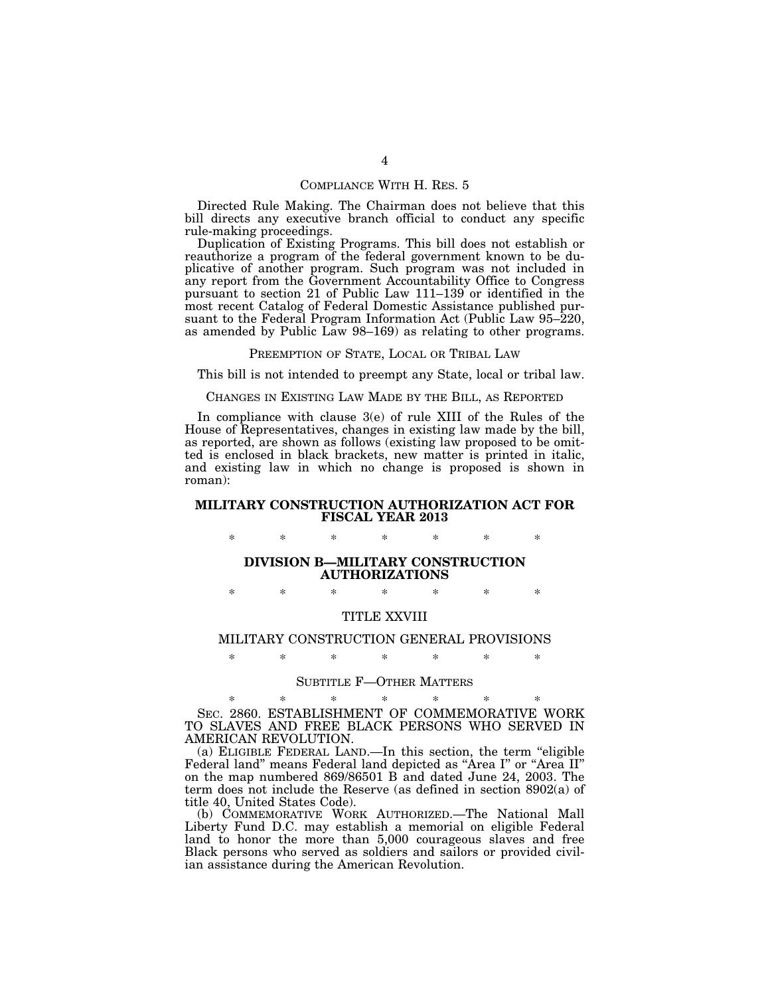# COMPLIANCE WITH H. RES. 5

Directed Rule Making. The Chairman does not believe that this bill directs any executive branch official to conduct any specific rule-making proceedings.

Duplication of Existing Programs. This bill does not establish or reauthorize a program of the federal government known to be duplicative of another program. Such program was not included in any report from the Government Accountability Office to Congress pursuant to section 21 of Public Law 111–139 or identified in the most recent Catalog of Federal Domestic Assistance published pursuant to the Federal Program Information Act (Public Law 95–220, as amended by Public Law 98–169) as relating to other programs.

## PREEMPTION OF STATE, LOCAL OR TRIBAL LAW

This bill is not intended to preempt any State, local or tribal law.

## CHANGES IN EXISTING LAW MADE BY THE BILL, AS REPORTED

In compliance with clause 3(e) of rule XIII of the Rules of the House of Representatives, changes in existing law made by the bill, as reported, are shown as follows (existing law proposed to be omitted is enclosed in black brackets, new matter is printed in italic, and existing law in which no change is proposed is shown in roman):

# **MILITARY CONSTRUCTION AUTHORIZATION ACT FOR FISCAL YEAR 2013**

\* \* \* \* \* \* \*

# **DIVISION B—MILITARY CONSTRUCTION AUTHORIZATIONS**

\* \* \* \* \* \* \*

# TITLE XXVIII

# MILITARY CONSTRUCTION GENERAL PROVISIONS \* \* \* \* \* \* \*

#### SUBTITLE F—OTHER MATTERS

\* \* \* \* \* \* \* SEC. 2860. ESTABLISHMENT OF COMMEMORATIVE WORK TO SLAVES AND FREE BLACK PERSONS WHO SERVED IN AMERICAN REVOLUTION.

(a) ELIGIBLE FEDERAL LAND.—In this section, the term ''eligible Federal land" means Federal land depicted as "Area I" or "Area II" on the map numbered 869/86501 B and dated June 24, 2003. The term does not include the Reserve (as defined in section 8902(a) of title 40, United States Code).

(b) COMMEMORATIVE WORK AUTHORIZED.—The National Mall Liberty Fund D.C. may establish a memorial on eligible Federal land to honor the more than 5,000 courageous slaves and free Black persons who served as soldiers and sailors or provided civilian assistance during the American Revolution.